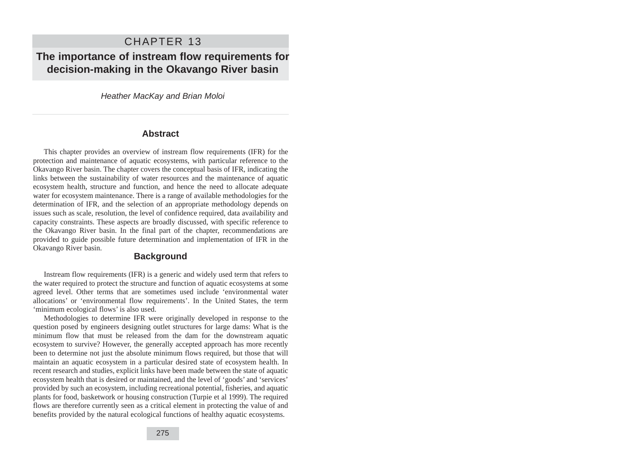# CHAPTER 13

# **The importance of instream flow requirements for decision-making in the Okavango River basin**

Heather MacKay and Brian Moloi

#### **Abstract**

This chapter provides an overview of instream flow requirements (IFR) for the protection and maintenance of aquatic ecosystems, with particular reference to the Okavango River basin. The chapter covers the conceptual basis of IFR, indicating the links between the sustainability of water resources and the maintenance of aquatic ecosystem health, structure and function, and hence the need to allocate adequate water for ecosystem maintenance. There is a range of available methodologies for the determination of IFR, and the selection of an appropriate methodology depends on issues such as scale, resolution, the level of confidence required, data availability and capacity constraints. These aspects are broadly discussed, with specific reference to the Okavango River basin. In the final part of the chapter, recommendations are provided to guide possible future determination and implementation of IFR in the Okavango River basin.

## **Background**

Instream flow requirements (IFR) is a generic and widely used term that refers to the water required to protect the structure and function of aquatic ecosystems at some agreed level. Other terms that are sometimes used include 'environmental water allocations' or 'environmental flow requirements'. In the United States, the term 'minimum ecological flows' is also used.

Methodologies to determine IFR were originally developed in response to the question posed by engineers designing outlet structures for large dams: What is the minimum flow that must be released from the dam for the downstream aquatic ecosystem to survive? However, the generally accepted approach has more recently been to determine not just the absolute minimum flows required, but those that will maintain an aquatic ecosystem in a particular desired state of ecosystem health. In recent research and studies, explicit links have been made between the state of aquatic ecosystem health that is desired or maintained, and the level of 'goods' and 'services' provided by such an ecosystem, including recreational potential, fisheries, and aquatic plants for food, basketwork or housing construction (Turpie et al 1999). The required flows are therefore currently seen as a critical element in protecting the value of and benefits provided by the natural ecological functions of healthy aquatic ecosystems.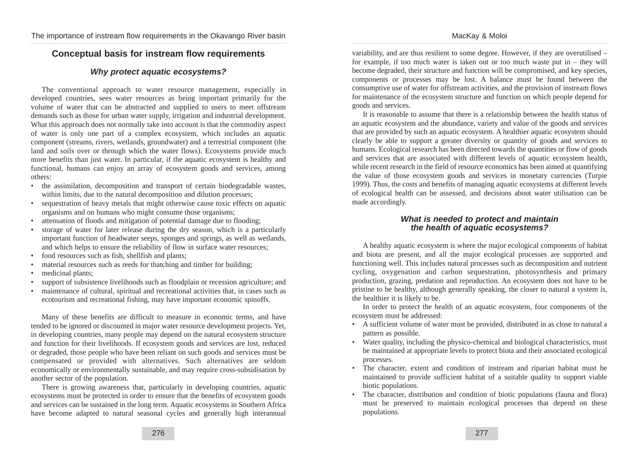# **Conceptual basis for instream flow requirements**

#### **Why protect aquatic ecosystems?**

The conventional approach to water resource management, especially in developed countries, sees water resources as being important primarily for the volume of water that can be abstracted and supplied to users to meet offstream demands such as those for urban water supply, irrigation and industrial development. What this approach does not normally take into account is that the commodity aspect of water is only one part of a complex ecosystem, which includes an aquatic component (streams, rivers, wetlands, groundwater) and a terrestrial component (the land and soils over or through which the water flows). Ecosystems provide much more benefits than just water. In particular, if the aquatic ecosystem is healthy and functional, humans can enjoy an array of ecosystem goods and services, among others:

- the assimilation, decomposition and transport of certain biodegradable wastes, within limits, due to the natural decomposition and dilution processes;
- sequestration of heavy metals that might otherwise cause toxic effects on aquatic organisms and on humans who might consume those organisms;
- attenuation of floods and mitigation of potential damage due to flooding;
- storage of water for later release during the dry season, which is a particularly important function of headwater seeps, sponges and springs, as well as wetlands, and which helps to ensure the reliability of flow in surface water resources;
- food resources such as fish, shellfish and plants;
- material resources such as reeds for thatching and timber for building;
- medicinal plants;
- support of subsistence livelihoods such as floodplain or recession agriculture; and
- maintenance of cultural, spiritual and recreational activities that, in cases such as ecotourism and recreational fishing, may have important economic spinoffs.

Many of these benefits are difficult to measure in economic terms, and have tended to be ignored or discounted in major water resource development projects. Yet, in developing countries, many people may depend on the natural ecosystem structure and function for their livelihoods. If ecosystem goods and services are lost, reduced or degraded, those people who have been reliant on such goods and services must be compensated or provided with alternatives. Such alternatives are seldom economically or environmentally sustainable, and may require cross-subsidisation by another sector of the population.

There is growing awareness that, particularly in developing countries, aquatic ecosystems must be protected in order to ensure that the benefits of ecosystem goods and services can be sustained in the long term. Aquatic ecosystems in Southern Africa have become adapted to natural seasonal cycles and generally high interannual

variability, and are thus resilient to some degree. However, if they are overutilised – for example, if too much water is taken out or too much waste put in – they will become degraded, their structure and function will be compromised, and key species, components or processes may be lost. A balance must be found between the consumptive use of water for offstream activities, and the provision of instream flows for maintenance of the ecosystem structure and function on which people depend for goods and services.

It is reasonable to assume that there is a relationship between the health status of an aquatic ecosystem and the abundance, variety and value of the goods and services that are provided by such an aquatic ecosystem. A healthier aquatic ecosystem should clearly be able to support a greater diversity or quantity of goods and services to humans. Ecological research has been directed towards the quantities or flow of goods and services that are associated with different levels of aquatic ecosystem health, while recent research in the field of resource economics has been aimed at quantifying the value of those ecosystem goods and services in monetary currencies (Turpie 1999). Thus, the costs and benefits of managing aquatic ecosystems at different levels of ecological health can be assessed, and decisions about water utilisation can be made accordingly.

#### **What is needed to protect and maintain the health of aquatic ecosystems?**

A healthy aquatic ecosystem is where the major ecological components of habitat and biota are present, and all the major ecological processes are supported and functioning well. This includes natural processes such as decomposition and nutrient cycling, oxygenation and carbon sequestration, photosynthesis and primary production, grazing, predation and reproduction. An ecosystem does not have to be pristine to be healthy, although generally speaking, the closer to natural a system is, the healthier it is likely to be.

In order to protect the health of an aquatic ecosystem, four components of the ecosystem must be addressed:

- A sufficient volume of water must be provided, distributed in as close to natural a pattern as possible.
- Water quality, including the physico-chemical and biological characteristics, must be maintained at appropriate levels to protect biota and their associated ecological processes.
- The character, extent and condition of instream and riparian habitat must be maintained to provide sufficient habitat of a suitable quality to support viable biotic populations.
- The character, distribution and condition of biotic populations (fauna and flora) must be preserved to maintain ecological processes that depend on these populations.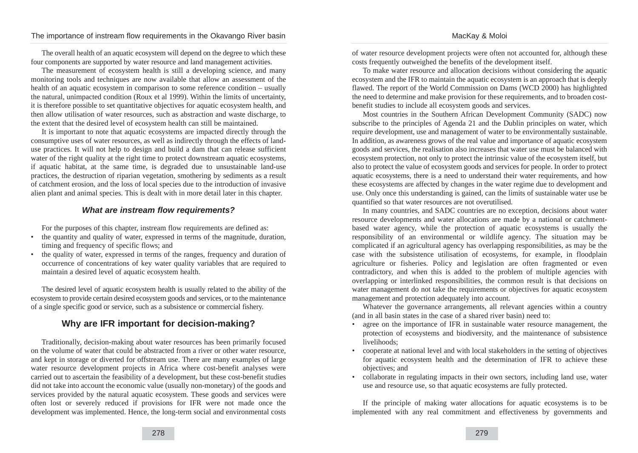#### MacKay & Moloi

#### The importance of instream flow requirements in the Okavango River basin

The overall health of an aquatic ecosystem will depend on the degree to which these four components are supported by water resource and land management activities.

The measurement of ecosystem health is still a developing science, and many monitoring tools and techniques are now available that allow an assessment of the health of an aquatic ecosystem in comparison to some reference condition – usually the natural, unimpacted condition (Roux et al 1999). Within the limits of uncertainty, it is therefore possible to set quantitative objectives for aquatic ecosystem health, and then allow utilisation of water resources, such as abstraction and waste discharge, to the extent that the desired level of ecosystem health can still be maintained.

It is important to note that aquatic ecosystems are impacted directly through the consumptive uses of water resources, as well as indirectly through the effects of landuse practices. It will not help to design and build a dam that can release sufficient water of the right quality at the right time to protect downstream aquatic ecosystems, if aquatic habitat, at the same time, is degraded due to unsustainable land-use practices, the destruction of riparian vegetation, smothering by sediments as a result of catchment erosion, and the loss of local species due to the introduction of invasive alien plant and animal species. This is dealt with in more detail later in this chapter.

### **What are instream flow requirements?**

For the purposes of this chapter, instream flow requirements are defined as:

- the quantity and quality of water, expressed in terms of the magnitude, duration, timing and frequency of specific flows; and
- the quality of water, expressed in terms of the ranges, frequency and duration of occurrence of concentrations of key water quality variables that are required to maintain a desired level of aquatic ecosystem health.

The desired level of aquatic ecosystem health is usually related to the ability of the ecosystem to provide certain desired ecosystem goods and services, or to the maintenance of a single specific good or service, such as a subsistence or commercial fishery.

# **Why are IFR important for decision-making?**

Traditionally, decision-making about water resources has been primarily focused on the volume of water that could be abstracted from a river or other water resource, and kept in storage or diverted for offstream use. There are many examples of large water resource development projects in Africa where cost-benefit analyses were carried out to ascertain the feasibility of a development, but these cost-benefit studies did not take into account the economic value (usually non-monetary) of the goods and services provided by the natural aquatic ecosystem. These goods and services were often lost or severely reduced if provisions for IFR were not made once the development was implemented. Hence, the long-term social and environmental costs of water resource development projects were often not accounted for, although these costs frequently outweighed the benefits of the development itself.

To make water resource and allocation decisions without considering the aquatic ecosystem and the IFR to maintain the aquatic ecosystem is an approach that is deeply flawed. The report of the World Commission on Dams (WCD 2000) has highlighted the need to determine and make provision for these requirements, and to broaden costbenefit studies to include all ecosystem goods and services.

Most countries in the Southern African Development Community (SADC) now subscribe to the principles of Agenda 21 and the Dublin principles on water, which require development, use and management of water to be environmentally sustainable. In addition, as awareness grows of the real value and importance of aquatic ecosystem goods and services, the realisation also increases that water use must be balanced with ecosystem protection, not only to protect the intrinsic value of the ecosystem itself, but also to protect the value of ecosystem goods and services for people. In order to protect aquatic ecosystems, there is a need to understand their water requirements, and how these ecosystems are affected by changes in the water regime due to development and use. Only once this understanding is gained, can the limits of sustainable water use be quantified so that water resources are not overutilised.

In many countries, and SADC countries are no exception, decisions about water resource developments and water allocations are made by a national or catchmentbased water agency, while the protection of aquatic ecosystems is usually the responsibility of an environmental or wildlife agency. The situation may be complicated if an agricultural agency has overlapping responsibilities, as may be the case with the subsistence utilisation of ecosystems, for example, in floodplain agriculture or fisheries. Policy and legislation are often fragmented or even contradictory, and when this is added to the problem of multiple agencies with overlapping or interlinked responsibilities, the common result is that decisions on water management do not take the requirements or objectives for aquatic ecosystem management and protection adequately into account.

Whatever the governance arrangements, all relevant agencies within a country (and in all basin states in the case of a shared river basin) need to:

- agree on the importance of IFR in sustainable water resource management, the protection of ecosystems and biodiversity, and the maintenance of subsistence livelihoods;
- cooperate at national level and with local stakeholders in the setting of objectives for aquatic ecosystem health and the determination of IFR to achieve these objectives; and
- collaborate in regulating impacts in their own sectors, including land use, water use and resource use, so that aquatic ecosystems are fully protected.

If the principle of making water allocations for aquatic ecosystems is to be implemented with any real commitment and effectiveness by governments and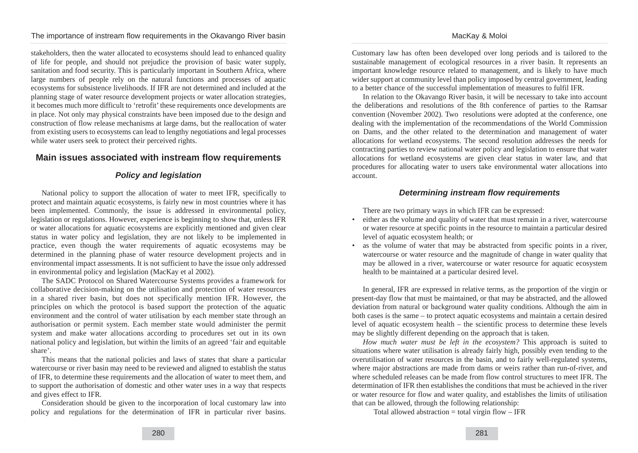stakeholders, then the water allocated to ecosystems should lead to enhanced quality of life for people, and should not prejudice the provision of basic water supply, sanitation and food security. This is particularly important in Southern Africa, where large numbers of people rely on the natural functions and processes of aquatic ecosystems for subsistence livelihoods. If IFR are not determined and included at the planning stage of water resource development projects or water allocation strategies, it becomes much more difficult to 'retrofit' these requirements once developments are in place. Not only may physical constraints have been imposed due to the design and construction of flow release mechanisms at large dams, but the reallocation of water from existing users to ecosystems can lead to lengthy negotiations and legal processes while water users seek to protect their perceived rights.

# **Main issues associated with instream flow requirements**

#### **Policy and legislation**

National policy to support the allocation of water to meet IFR, specifically to protect and maintain aquatic ecosystems, is fairly new in most countries where it has been implemented. Commonly, the issue is addressed in environmental policy, legislation or regulations. However, experience is beginning to show that, unless IFR or water allocations for aquatic ecosystems are explicitly mentioned and given clear status in water policy and legislation, they are not likely to be implemented in practice, even though the water requirements of aquatic ecosystems may be determined in the planning phase of water resource development projects and in environmental impact assessments. It is not sufficient to have the issue only addressed in environmental policy and legislation (MacKay et al 2002).

The SADC Protocol on Shared Watercourse Systems provides a framework for collaborative decision-making on the utilisation and protection of water resources in a shared river basin, but does not specifically mention IFR. However, the principles on which the protocol is based support the protection of the aquatic environment and the control of water utilisation by each member state through an authorisation or permit system. Each member state would administer the permit system and make water allocations according to procedures set out in its own national policy and legislation, but within the limits of an agreed 'fair and equitable share'.

This means that the national policies and laws of states that share a particular watercourse or river basin may need to be reviewed and aligned to establish the status of IFR, to determine these requirements and the allocation of water to meet them, and to support the authorisation of domestic and other water uses in a way that respects and gives effect to IFR.

Consideration should be given to the incorporation of local customary law into policy and regulations for the determination of IFR in particular river basins.

Customary law has often been developed over long periods and is tailored to the sustainable management of ecological resources in a river basin. It represents an important knowledge resource related to management, and is likely to have much wider support at community level than policy imposed by central government, leading to a better chance of the successful implementation of measures to fulfil IFR.

In relation to the Okavango River basin, it will be necessary to take into account the deliberations and resolutions of the 8th conference of parties to the Ramsar convention (November 2002). Two resolutions were adopted at the conference, one dealing with the implementation of the recommendations of the World Commission on Dams, and the other related to the determination and management of water allocations for wetland ecosystems. The second resolution addresses the needs for contracting parties to review national water policy and legislation to ensure that water allocations for wetland ecosystems are given clear status in water law, and that procedures for allocating water to users take environmental water allocations into account.

#### **Determining instream flow requirements**

There are two primary ways in which IFR can be expressed:

- either as the volume and quality of water that must remain in a river, watercourse or water resource at specific points in the resource to maintain a particular desired level of aquatic ecosystem health; or
- as the volume of water that may be abstracted from specific points in a river, watercourse or water resource and the magnitude of change in water quality that may be allowed in a river, watercourse or water resource for aquatic ecosystem health to be maintained at a particular desired level.

In general, IFR are expressed in relative terms, as the proportion of the virgin or present-day flow that must be maintained, or that may be abstracted, and the allowed deviation from natural or background water quality conditions. Although the aim in both cases is the same – to protect aquatic ecosystems and maintain a certain desired level of aquatic ecosystem health – the scientific process to determine these levels may be slightly different depending on the approach that is taken.

*How much water must be left in the ecosystem?* This approach is suited to situations where water utilisation is already fairly high, possibly even tending to the overutilisation of water resources in the basin, and to fairly well-regulated systems, where major abstractions are made from dams or weirs rather than run-of-river, and where scheduled releases can be made from flow control structures to meet IFR. The determination of IFR then establishes the conditions that must be achieved in the river or water resource for flow and water quality, and establishes the limits of utilisation that can be allowed, through the following relationship:

Total allowed abstraction  $=$  total virgin flow  $-$  IFR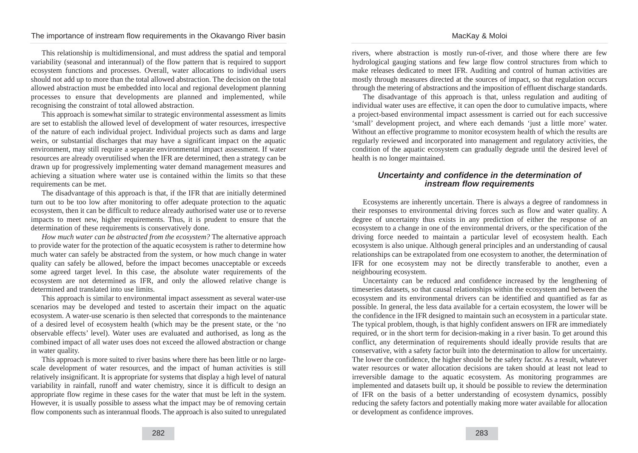This relationship is multidimensional, and must address the spatial and temporal variability (seasonal and interannual) of the flow pattern that is required to support ecosystem functions and processes. Overall, water allocations to individual users should not add up to more than the total allowed abstraction. The decision on the total allowed abstraction must be embedded into local and regional development planning processes to ensure that developments are planned and implemented, while recognising the constraint of total allowed abstraction.

This approach is somewhat similar to strategic environmental assessment as limits are set to establish the allowed level of development of water resources, irrespective of the nature of each individual project. Individual projects such as dams and large weirs, or substantial discharges that may have a significant impact on the aquatic environment, may still require a separate environmental impact assessment. If water resources are already overutilised when the IFR are determined, then a strategy can be drawn up for progressively implementing water demand management measures and achieving a situation where water use is contained within the limits so that these requirements can be met.

The disadvantage of this approach is that, if the IFR that are initially determined turn out to be too low after monitoring to offer adequate protection to the aquatic ecosystem, then it can be difficult to reduce already authorised water use or to reverse impacts to meet new, higher requirements. Thus, it is prudent to ensure that the determination of these requirements is conservatively done.

*How much water can be abstracted from the ecosystem?* The alternative approach to provide water for the protection of the aquatic ecosystem is rather to determine how much water can safely be abstracted from the system, or how much change in water quality can safely be allowed, before the impact becomes unacceptable or exceeds some agreed target level. In this case, the absolute water requirements of the ecosystem are not determined as IFR, and only the allowed relative change is determined and translated into use limits.

This approach is similar to environmental impact assessment as several water-use scenarios may be developed and tested to ascertain their impact on the aquatic ecosystem. A water-use scenario is then selected that corresponds to the maintenance of a desired level of ecosystem health (which may be the present state, or the 'no observable effects' level). Water uses are evaluated and authorised, as long as the combined impact of all water uses does not exceed the allowed abstraction or change in water quality.

This approach is more suited to river basins where there has been little or no largescale development of water resources, and the impact of human activities is still relatively insignificant. It is appropriate for systems that display a high level of natural variability in rainfall, runoff and water chemistry, since it is difficult to design an appropriate flow regime in these cases for the water that must be left in the system. However, it is usually possible to assess what the impact may be of removing certain flow components such as interannual floods. The approach is also suited to unregulated

rivers, where abstraction is mostly run-of-river, and those where there are few hydrological gauging stations and few large flow control structures from which to make releases dedicated to meet IFR. Auditing and control of human activities are mostly through measures directed at the sources of impact, so that regulation occurs through the metering of abstractions and the imposition of effluent discharge standards.

MacKay & Moloi

The disadvantage of this approach is that, unless regulation and auditing of individual water uses are effective, it can open the door to cumulative impacts, where a project-based environmental impact assessment is carried out for each successive 'small' development project, and where each demands 'just a little more' water. Without an effective programme to monitor ecosystem health of which the results are regularly reviewed and incorporated into management and regulatory activities, the condition of the aquatic ecosystem can gradually degrade until the desired level of health is no longer maintained.

#### **Uncertainty and confidence in the determination of instream flow requirements**

Ecosystems are inherently uncertain. There is always a degree of randomness in their responses to environmental driving forces such as flow and water quality. A degree of uncertainty thus exists in any prediction of either the response of an ecosystem to a change in one of the environmental drivers, or the specification of the driving force needed to maintain a particular level of ecosystem health. Each ecosystem is also unique. Although general principles and an understanding of causal relationships can be extrapolated from one ecosystem to another, the determination of IFR for one ecosystem may not be directly transferable to another, even a neighbouring ecosystem.

Uncertainty can be reduced and confidence increased by the lengthening of timeseries datasets, so that causal relationships within the ecosystem and between the ecosystem and its environmental drivers can be identified and quantified as far as possible. In general, the less data available for a certain ecosystem, the lower will be the confidence in the IFR designed to maintain such an ecosystem in a particular state. The typical problem, though, is that highly confident answers on IFR are immediately required, or in the short term for decision-making in a river basin. To get around this conflict, any determination of requirements should ideally provide results that are conservative, with a safety factor built into the determination to allow for uncertainty. The lower the confidence, the higher should be the safety factor. As a result, whatever water resources or water allocation decisions are taken should at least not lead to irreversible damage to the aquatic ecosystem. As monitoring programmes are implemented and datasets built up, it should be possible to review the determination of IFR on the basis of a better understanding of ecosystem dynamics, possibly reducing the safety factors and potentially making more water available for allocation or development as confidence improves.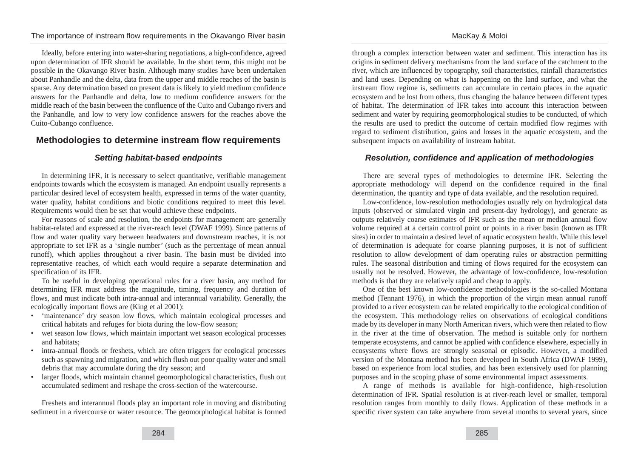Ideally, before entering into water-sharing negotiations, a high-confidence, agreed upon determination of IFR should be available. In the short term, this might not be possible in the Okavango River basin. Although many studies have been undertaken about Panhandle and the delta, data from the upper and middle reaches of the basin is sparse. Any determination based on present data is likely to yield medium confidence answers for the Panhandle and delta, low to medium confidence answers for the middle reach of the basin between the confluence of the Cuito and Cubango rivers and the Panhandle, and low to very low confidence answers for the reaches above the Cuito-Cubango confluence.

#### **Methodologies to determine instream flow requirements**

#### **Setting habitat-based endpoints**

In determining IFR, it is necessary to select quantitative, verifiable management endpoints towards which the ecosystem is managed. An endpoint usually represents a particular desired level of ecosystem health, expressed in terms of the water quantity, water quality, habitat conditions and biotic conditions required to meet this level. Requirements would then be set that would achieve these endpoints.

For reasons of scale and resolution, the endpoints for management are generally habitat-related and expressed at the river-reach level (DWAF 1999). Since patterns of flow and water quality vary between headwaters and downstream reaches, it is not appropriate to set IFR as a 'single number' (such as the percentage of mean annual runoff), which applies throughout a river basin. The basin must be divided into representative reaches, of which each would require a separate determination and specification of its IFR.

To be useful in developing operational rules for a river basin, any method for determining IFR must address the magnitude, timing, frequency and duration of flows, and must indicate both intra-annual and interannual variability. Generally, the ecologically important flows are (King et al 2001):

- 'maintenance' dry season low flows, which maintain ecological processes and critical habitats and refuges for biota during the low-flow season;
- wet season low flows, which maintain important wet season ecological processes and habitats;
- intra-annual floods or freshets, which are often triggers for ecological processes such as spawning and migration, and which flush out poor quality water and small debris that may accumulate during the dry season; and
- larger floods, which maintain channel geomorphological characteristics, flush out accumulated sediment and reshape the cross-section of the watercourse.

Freshets and interannual floods play an important role in moving and distributing sediment in a rivercourse or water resource. The geomorphological habitat is formed

through a complex interaction between water and sediment. This interaction has its origins in sediment delivery mechanisms from the land surface of the catchment to the river, which are influenced by topography, soil characteristics, rainfall characteristics and land uses. Depending on what is happening on the land surface, and what the instream flow regime is, sediments can accumulate in certain places in the aquatic ecosystem and be lost from others, thus changing the balance between different types of habitat. The determination of IFR takes into account this interaction between sediment and water by requiring geomorphological studies to be conducted, of which the results are used to predict the outcome of certain modified flow regimes with regard to sediment distribution, gains and losses in the aquatic ecosystem, and the subsequent impacts on availability of instream habitat.

#### **Resolution, confidence and application of methodologies**

There are several types of methodologies to determine IFR. Selecting the appropriate methodology will depend on the confidence required in the final determination, the quantity and type of data available, and the resolution required.

Low-confidence, low-resolution methodologies usually rely on hydrological data inputs (observed or simulated virgin and present-day hydrology), and generate as outputs relatively coarse estimates of IFR such as the mean or median annual flow volume required at a certain control point or points in a river basin (known as IFR sites) in order to maintain a desired level of aquatic ecosystem health. While this level of determination is adequate for coarse planning purposes, it is not of sufficient resolution to allow development of dam operating rules or abstraction permitting rules. The seasonal distribution and timing of flows required for the ecosystem can usually not be resolved. However, the advantage of low-confidence, low-resolution methods is that they are relatively rapid and cheap to apply.

One of the best known low-confidence methodologies is the so-called Montana method (Tennant 1976), in which the proportion of the virgin mean annual runoff provided to a river ecosystem can be related empirically to the ecological condition of the ecosystem. This methodology relies on observations of ecological conditions made by its developer in many North American rivers, which were then related to flow in the river at the time of observation. The method is suitable only for northern temperate ecosystems, and cannot be applied with confidence elsewhere, especially in ecosystems where flows are strongly seasonal or episodic. However, a modified version of the Montana method has been developed in South Africa (DWAF 1999), based on experience from local studies, and has been extensively used for planning purposes and in the scoping phase of some environmental impact assessments.

A range of methods is available for high-confidence, high-resolution determination of IFR. Spatial resolution is at river-reach level or smaller, temporal resolution ranges from monthly to daily flows. Application of these methods in a specific river system can take anywhere from several months to several years, since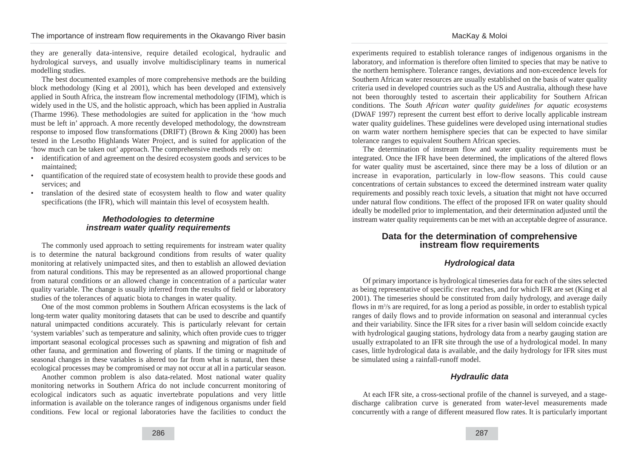they are generally data-intensive, require detailed ecological, hydraulic and hydrological surveys, and usually involve multidisciplinary teams in numerical modelling studies.

The best documented examples of more comprehensive methods are the building block methodology (King et al 2001), which has been developed and extensively applied in South Africa, the instream flow incremental methodology (IFIM), which is widely used in the US, and the holistic approach, which has been applied in Australia (Tharme 1996). These methodologies are suited for application in the 'how much must be left in' approach. A more recently developed methodology, the downstream response to imposed flow transformations (DRIFT) (Brown & King 2000) has been tested in the Lesotho Highlands Water Project, and is suited for application of the 'how much can be taken out' approach. The comprehensive methods rely on:

- identification of and agreement on the desired ecosystem goods and services to be maintained;
- quantification of the required state of ecosystem health to provide these goods and services; and
- translation of the desired state of ecosystem health to flow and water quality specifications (the IFR), which will maintain this level of ecosystem health.

#### **Methodologies to determine instream water quality requirements**

The commonly used approach to setting requirements for instream water quality is to determine the natural background conditions from results of water quality monitoring at relatively unimpacted sites, and then to establish an allowed deviation from natural conditions. This may be represented as an allowed proportional change from natural conditions or an allowed change in concentration of a particular water quality variable. The change is usually inferred from the results of field or laboratory studies of the tolerances of aquatic biota to changes in water quality.

One of the most common problems in Southern African ecosystems is the lack of long-term water quality monitoring datasets that can be used to describe and quantify natural unimpacted conditions accurately. This is particularly relevant for certain 'system variables' such as temperature and salinity, which often provide cues to trigger important seasonal ecological processes such as spawning and migration of fish and other fauna, and germination and flowering of plants. If the timing or magnitude of seasonal changes in these variables is altered too far from what is natural, then these ecological processes may be compromised or may not occur at all in a particular season.

Another common problem is also data-related. Most national water quality monitoring networks in Southern Africa do not include concurrent monitoring of ecological indicators such as aquatic invertebrate populations and very little information is available on the tolerance ranges of indigenous organisms under field conditions. Few local or regional laboratories have the facilities to conduct the experiments required to establish tolerance ranges of indigenous organisms in the laboratory, and information is therefore often limited to species that may be native to the northern hemisphere. Tolerance ranges, deviations and non-exceedence levels for Southern African water resources are usually established on the basis of water quality criteria used in developed countries such as the US and Australia, although these have not been thoroughly tested to ascertain their applicability for Southern African conditions. The *South African water quality guidelines for aquatic ecosystems* (DWAF 1997) represent the current best effort to derive locally applicable instream water quality guidelines. These guidelines were developed using international studies on warm water northern hemisphere species that can be expected to have similar tolerance ranges to equivalent Southern African species.

The determination of instream flow and water quality requirements must be integrated. Once the IFR have been determined, the implications of the altered flows for water quality must be ascertained, since there may be a loss of dilution or an increase in evaporation, particularly in low-flow seasons. This could cause concentrations of certain substances to exceed the determined instream water quality requirements and possibly reach toxic levels, a situation that might not have occurred under natural flow conditions. The effect of the proposed IFR on water quality should ideally be modelled prior to implementation, and their determination adjusted until the instream water quality requirements can be met with an acceptable degree of assurance.

### **Data for the determination of comprehensive instream flow requirements**

#### **Hydrological data**

Of primary importance is hydrological timeseries data for each of the sites selected as being representative of specific river reaches, and for which IFR are set (King et al 2001). The timeseries should be constituted from daily hydrology, and average daily flows in m<sup>3</sup>/s are required, for as long a period as possible, in order to establish typical ranges of daily flows and to provide information on seasonal and interannual cycles and their variability. Since the IFR sites for a river basin will seldom coincide exactly with hydrological gauging stations, hydrology data from a nearby gauging station are usually extrapolated to an IFR site through the use of a hydrological model. In many cases, little hydrological data is available, and the daily hydrology for IFR sites must be simulated using a rainfall-runoff model.

#### **Hydraulic data**

At each IFR site, a cross-sectional profile of the channel is surveyed, and a stagedischarge calibration curve is generated from water-level measurements made concurrently with a range of different measured flow rates. It is particularly important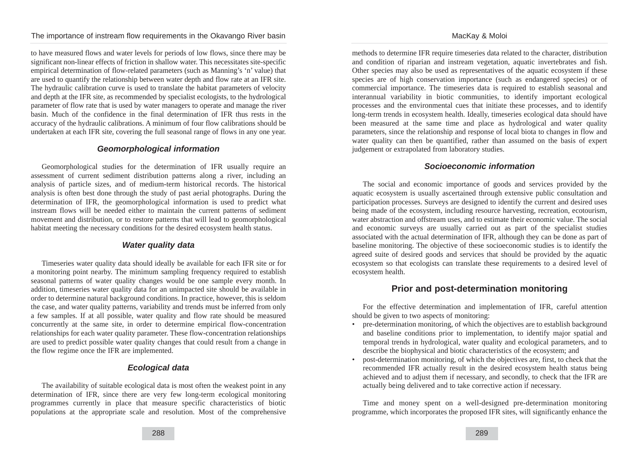to have measured flows and water levels for periods of low flows, since there may be significant non-linear effects of friction in shallow water. This necessitates site-specific empirical determination of flow-related parameters (such as Manning's 'n' value) that are used to quantify the relationship between water depth and flow rate at an IFR site. The hydraulic calibration curve is used to translate the habitat parameters of velocity and depth at the IFR site, as recommended by specialist ecologists, to the hydrological parameter of flow rate that is used by water managers to operate and manage the river basin. Much of the confidence in the final determination of IFR thus rests in the accuracy of the hydraulic calibrations. A minimum of four flow calibrations should be undertaken at each IFR site, covering the full seasonal range of flows in any one year.

#### **Geomorphological information**

Geomorphological studies for the determination of IFR usually require an assessment of current sediment distribution patterns along a river, including an analysis of particle sizes, and of medium-term historical records. The historical analysis is often best done through the study of past aerial photographs. During the determination of IFR, the geomorphological information is used to predict what instream flows will be needed either to maintain the current patterns of sediment movement and distribution, or to restore patterns that will lead to geomorphological habitat meeting the necessary conditions for the desired ecosystem health status.

#### **Water quality data**

Timeseries water quality data should ideally be available for each IFR site or for a monitoring point nearby. The minimum sampling frequency required to establish seasonal patterns of water quality changes would be one sample every month. In addition, timeseries water quality data for an unimpacted site should be available in order to determine natural background conditions. In practice, however, this is seldom the case, and water quality patterns, variability and trends must be inferred from only a few samples. If at all possible, water quality and flow rate should be measured concurrently at the same site, in order to determine empirical flow-concentration relationships for each water quality parameter. These flow-concentration relationships are used to predict possible water quality changes that could result from a change in the flow regime once the IFR are implemented.

#### **Ecological data**

The availability of suitable ecological data is most often the weakest point in any determination of IFR, since there are very few long-term ecological monitoring programmes currently in place that measure specific characteristics of biotic populations at the appropriate scale and resolution. Most of the comprehensive methods to determine IFR require timeseries data related to the character, distribution and condition of riparian and instream vegetation, aquatic invertebrates and fish. Other species may also be used as representatives of the aquatic ecosystem if these species are of high conservation importance (such as endangered species) or of commercial importance. The timeseries data is required to establish seasonal and interannual variability in biotic communities, to identify important ecological processes and the environmental cues that initiate these processes, and to identify long-term trends in ecosystem health. Ideally, timeseries ecological data should have been measured at the same time and place as hydrological and water quality parameters, since the relationship and response of local biota to changes in flow and water quality can then be quantified, rather than assumed on the basis of expert judgement or extrapolated from laboratory studies.

#### **Socioeconomic information**

The social and economic importance of goods and services provided by the aquatic ecosystem is usually ascertained through extensive public consultation and participation processes. Surveys are designed to identify the current and desired uses being made of the ecosystem, including resource harvesting, recreation, ecotourism, water abstraction and offstream uses, and to estimate their economic value. The social and economic surveys are usually carried out as part of the specialist studies associated with the actual determination of IFR, although they can be done as part of baseline monitoring. The objective of these socioeconomic studies is to identify the agreed suite of desired goods and services that should be provided by the aquatic ecosystem so that ecologists can translate these requirements to a desired level of ecosystem health.

### **Prior and post-determination monitoring**

For the effective determination and implementation of IFR, careful attention should be given to two aspects of monitoring:

- pre-determination monitoring, of which the objectives are to establish background and baseline conditions prior to implementation, to identify major spatial and temporal trends in hydrological, water quality and ecological parameters, and to describe the biophysical and biotic characteristics of the ecosystem; and
- post-determination monitoring, of which the objectives are, first, to check that the recommended IFR actually result in the desired ecosystem health status being achieved and to adjust them if necessary, and secondly, to check that the IFR are actually being delivered and to take corrective action if necessary.

Time and money spent on a well-designed pre-determination monitoring programme, which incorporates the proposed IFR sites, will significantly enhance the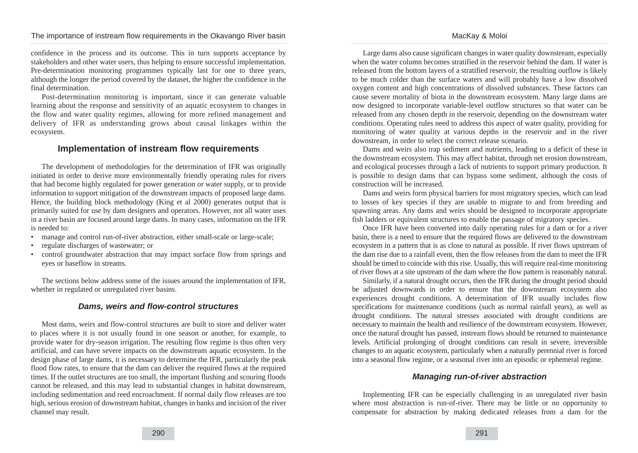confidence in the process and its outcome. This in turn supports acceptance by stakeholders and other water users, thus helping to ensure successful implementation. Pre-determination monitoring programmes typically last for one to three years, although the longer the period covered by the dataset, the higher the confidence in the final determination.

Post-determination monitoring is important, since it can generate valuable learning about the response and sensitivity of an aquatic ecosystem to changes in the flow and water quality regimes, allowing for more refined management and delivery of IFR as understanding grows about causal linkages within the ecosystem.

#### **Implementation of instream flow requirements**

The development of methodologies for the determination of IFR was originally initiated in order to derive more environmentally friendly operating rules for rivers that had become highly regulated for power generation or water supply, or to provide information to support mitigation of the downstream impacts of proposed large dams. Hence, the building block methodology (King et al 2000) generates output that is primarily suited for use by dam designers and operators. However, not all water uses in a river basin are focused around large dams. In many cases, information on the IFR is needed to:

- manage and control run-of-river abstraction, either small-scale or large-scale;
- regulate discharges of wastewater; or
- control groundwater abstraction that may impact surface flow from springs and eyes or baseflow in streams.

The sections below address some of the issues around the implementation of IFR, whether in regulated or unregulated river basins.

#### **Dams, weirs and flow-control structures**

Most dams, weirs and flow-control structures are built to store and deliver water to places where it is not usually found in one season or another, for example, to provide water for dry-season irrigation. The resulting flow regime is thus often very artificial, and can have severe impacts on the downstream aquatic ecosystem. In the design phase of large dams, it is necessary to determine the IFR, particularly the peak flood flow rates, to ensure that the dam can deliver the required flows at the required times. If the outlet structures are too small, the important flushing and scouring floods cannot be released, and this may lead to substantial changes in habitat downstream, including sedimentation and reed encroachment. If normal daily flow releases are too high, serious erosion of downstream habitat, changes in banks and incision of the river channel may result.

MacKay & Moloi

Large dams also cause significant changes in water quality downstream, especially when the water column becomes stratified in the reservoir behind the dam. If water is released from the bottom layers of a stratified reservoir, the resulting outflow is likely to be much colder than the surface waters and will probably have a low dissolved oxygen content and high concentrations of dissolved substances. These factors can cause severe mortality of biota in the downstream ecosystem. Many large dams are now designed to incorporate variable-level outflow structures so that water can be released from any chosen depth in the reservoir, depending on the downstream water conditions. Operating rules need to address this aspect of water quality, providing for monitoring of water quality at various depths in the reservoir and in the river downstream, in order to select the correct release scenario.

Dams and weirs also trap sediment and nutrients, leading to a deficit of these in the downstream ecosystem. This may affect habitat, through net erosion downstream, and ecological processes through a lack of nutrients to support primary production. It is possible to design dams that can bypass some sediment, although the costs of construction will be increased.

Dams and weirs form physical barriers for most migratory species, which can lead to losses of key species if they are unable to migrate to and from breeding and spawning areas. Any dams and weirs should be designed to incorporate appropriate fish ladders or equivalent structures to enable the passage of migratory species.

Once IFR have been converted into daily operating rules for a dam or for a river basin, there is a need to ensure that the required flows are delivered to the downstream ecosystem in a pattern that is as close to natural as possible. If river flows upstream of the dam rise due to a rainfall event, then the flow releases from the dam to meet the IFR should be timed to coincide with this rise. Usually, this will require real-time monitoring of river flows at a site upstream of the dam where the flow pattern is reasonably natural.

Similarly, if a natural drought occurs, then the IFR during the drought period should be adjusted downwards in order to ensure that the downstream ecosystem also experiences drought conditions. A determination of IFR usually includes flow specifications for maintenance conditions (such as normal rainfall years), as well as drought conditions. The natural stresses associated with drought conditions are necessary to maintain the health and resilience of the downstream ecosystem. However, once the natural drought has passed, instream flows should be returned to maintenance levels. Artificial prolonging of drought conditions can result in severe, irreversible changes to an aquatic ecosystem, particularly when a naturally perennial river is forced into a seasonal flow regime, or a seasonal river into an episodic or ephemeral regime.

#### **Managing run-of-river abstraction**

Implementing IFR can be especially challenging in an unregulated river basin where most abstraction is run-of-river. There may be little or no opportunity to compensate for abstraction by making dedicated releases from a dam for the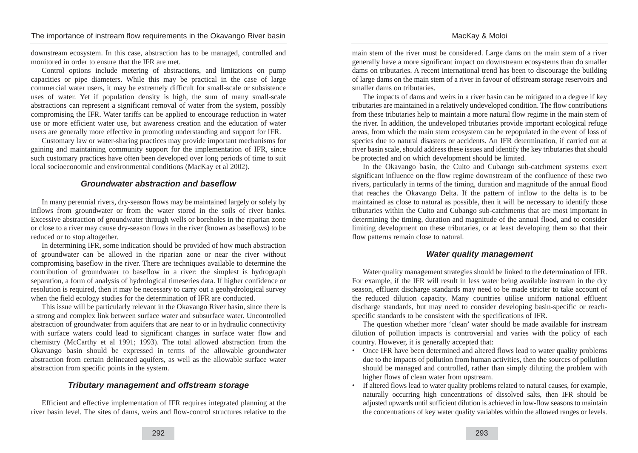downstream ecosystem. In this case, abstraction has to be managed, controlled and monitored in order to ensure that the IFR are met.

Control options include metering of abstractions, and limitations on pump capacities or pipe diameters. While this may be practical in the case of large commercial water users, it may be extremely difficult for small-scale or subsistence uses of water. Yet if population density is high, the sum of many small-scale abstractions can represent a significant removal of water from the system, possibly compromising the IFR. Water tariffs can be applied to encourage reduction in water use or more efficient water use, but awareness creation and the education of water users are generally more effective in promoting understanding and support for IFR.

Customary law or water-sharing practices may provide important mechanisms for gaining and maintaining community support for the implementation of IFR, since such customary practices have often been developed over long periods of time to suit local socioeconomic and environmental conditions (MacKay et al 2002).

#### **Groundwater abstraction and baseflow**

In many perennial rivers, dry-season flows may be maintained largely or solely by inflows from groundwater or from the water stored in the soils of river banks. Excessive abstraction of groundwater through wells or boreholes in the riparian zone or close to a river may cause dry-season flows in the river (known as baseflows) to be reduced or to stop altogether.

In determining IFR, some indication should be provided of how much abstraction of groundwater can be allowed in the riparian zone or near the river without compromising baseflow in the river. There are techniques available to determine the contribution of groundwater to baseflow in a river: the simplest is hydrograph separation, a form of analysis of hydrological timeseries data. If higher confidence or resolution is required, then it may be necessary to carry out a geohydrological survey when the field ecology studies for the determination of IFR are conducted.

This issue will be particularly relevant in the Okavango River basin, since there is a strong and complex link between surface water and subsurface water. Uncontrolled abstraction of groundwater from aquifers that are near to or in hydraulic connectivity with surface waters could lead to significant changes in surface water flow and chemistry (McCarthy et al 1991; 1993). The total allowed abstraction from the Okavango basin should be expressed in terms of the allowable groundwater abstraction from certain delineated aquifers, as well as the allowable surface water abstraction from specific points in the system.

#### **Tributary management and offstream storage**

Efficient and effective implementation of IFR requires integrated planning at the river basin level. The sites of dams, weirs and flow-control structures relative to the main stem of the river must be considered. Large dams on the main stem of a river generally have a more significant impact on downstream ecosystems than do smaller dams on tributaries. A recent international trend has been to discourage the building of large dams on the main stem of a river in favour of offstream storage reservoirs and smaller dams on tributaries.

The impacts of dams and weirs in a river basin can be mitigated to a degree if key tributaries are maintained in a relatively undeveloped condition. The flow contributions from these tributaries help to maintain a more natural flow regime in the main stem of the river. In addition, the undeveloped tributaries provide important ecological refuge areas, from which the main stem ecosystem can be repopulated in the event of loss of species due to natural disasters or accidents. An IFR determination, if carried out at river basin scale, should address these issues and identify the key tributaries that should be protected and on which development should be limited.

In the Okavango basin, the Cuito and Cubango sub-catchment systems exert significant influence on the flow regime downstream of the confluence of these two rivers, particularly in terms of the timing, duration and magnitude of the annual flood that reaches the Okavango Delta. If the pattern of inflow to the delta is to be maintained as close to natural as possible, then it will be necessary to identify those tributaries within the Cuito and Cubango sub-catchments that are most important in determining the timing, duration and magnitude of the annual flood, and to consider limiting development on these tributaries, or at least developing them so that their flow patterns remain close to natural.

#### **Water quality management**

Water quality management strategies should be linked to the determination of IFR. For example, if the IFR will result in less water being available instream in the dry season, effluent discharge standards may need to be made stricter to take account of the reduced dilution capacity. Many countries utilise uniform national effluent discharge standards, but may need to consider developing basin-specific or reachspecific standards to be consistent with the specifications of IFR.

The question whether more 'clean' water should be made available for instream dilution of pollution impacts is controversial and varies with the policy of each country. However, it is generally accepted that:

- Once IFR have been determined and altered flows lead to water quality problems due to the impacts of pollution from human activities, then the sources of pollution should be managed and controlled, rather than simply diluting the problem with higher flows of clean water from upstream.
- If altered flows lead to water quality problems related to natural causes, for example, naturally occurring high concentrations of dissolved salts, then IFR should be adjusted upwards until sufficient dilution is achieved in low-flow seasons to maintain the concentrations of key water quality variables within the allowed ranges or levels.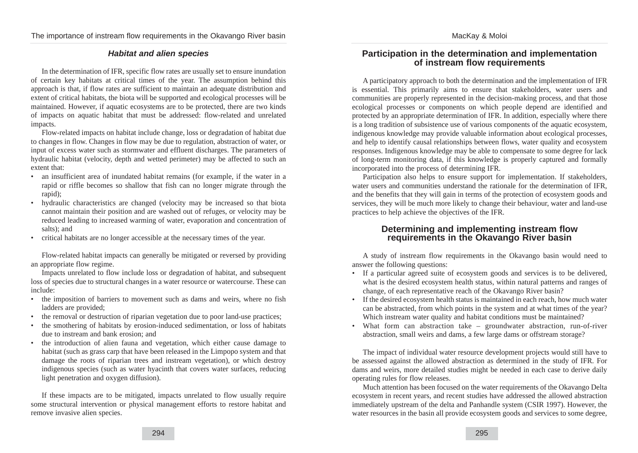## MacKay & Moloi

#### **Habitat and alien species**

In the determination of IFR, specific flow rates are usually set to ensure inundation of certain key habitats at critical times of the year. The assumption behind this approach is that, if flow rates are sufficient to maintain an adequate distribution and extent of critical habitats, the biota will be supported and ecological processes will be maintained. However, if aquatic ecosystems are to be protected, there are two kinds of impacts on aquatic habitat that must be addressed: flow-related and unrelated impacts.

Flow-related impacts on habitat include change, loss or degradation of habitat due to changes in flow. Changes in flow may be due to regulation, abstraction of water, or input of excess water such as stormwater and effluent discharges. The parameters of hydraulic habitat (velocity, depth and wetted perimeter) may be affected to such an extent that:

- an insufficient area of inundated habitat remains (for example, if the water in a rapid or riffle becomes so shallow that fish can no longer migrate through the rapid);
- hydraulic characteristics are changed (velocity may be increased so that biota cannot maintain their position and are washed out of refuges, or velocity may be reduced leading to increased warming of water, evaporation and concentration of salts); and
- critical habitats are no longer accessible at the necessary times of the year.

Flow-related habitat impacts can generally be mitigated or reversed by providing an appropriate flow regime.

Impacts unrelated to flow include loss or degradation of habitat, and subsequent loss of species due to structural changes in a water resource or watercourse. These can include:

- the imposition of barriers to movement such as dams and weirs, where no fish ladders are provided;
- the removal or destruction of riparian vegetation due to poor land-use practices;
- the smothering of habitats by erosion-induced sedimentation, or loss of habitats due to instream and bank erosion; and
- the introduction of alien fauna and vegetation, which either cause damage to habitat (such as grass carp that have been released in the Limpopo system and that damage the roots of riparian trees and instream vegetation), or which destroy indigenous species (such as water hyacinth that covers water surfaces, reducing light penetration and oxygen diffusion).

If these impacts are to be mitigated, impacts unrelated to flow usually require some structural intervention or physical management efforts to restore habitat and remove invasive alien species.

#### **Participation in the determination and implementation of instream flow requirements**

A participatory approach to both the determination and the implementation of IFR is essential. This primarily aims to ensure that stakeholders, water users and communities are properly represented in the decision-making process, and that those ecological processes or components on which people depend are identified and protected by an appropriate determination of IFR. In addition, especially where there is a long tradition of subsistence use of various components of the aquatic ecosystem, indigenous knowledge may provide valuable information about ecological processes, and help to identify causal relationships between flows, water quality and ecosystem responses. Indigenous knowledge may be able to compensate to some degree for lack of long-term monitoring data, if this knowledge is properly captured and formally incorporated into the process of determining IFR.

Participation also helps to ensure support for implementation. If stakeholders, water users and communities understand the rationale for the determination of IFR. and the benefits that they will gain in terms of the protection of ecosystem goods and services, they will be much more likely to change their behaviour, water and land-use practices to help achieve the objectives of the IFR.

#### **Determining and implementing instream flow requirements in the Okavango River basin**

A study of instream flow requirements in the Okavango basin would need to answer the following questions:

- If a particular agreed suite of ecosystem goods and services is to be delivered, what is the desired ecosystem health status, within natural patterns and ranges of change, of each representative reach of the Okavango River basin?
- If the desired ecosystem health status is maintained in each reach, how much water can be abstracted, from which points in the system and at what times of the year? Which instream water quality and habitat conditions must be maintained?
- What form can abstraction take  $-$  groundwater abstraction, run-of-river abstraction, small weirs and dams, a few large dams or offstream storage?

The impact of individual water resource development projects would still have to be assessed against the allowed abstraction as determined in the study of IFR. For dams and weirs, more detailed studies might be needed in each case to derive daily operating rules for flow releases.

Much attention has been focused on the water requirements of the Okavango Delta ecosystem in recent years, and recent studies have addressed the allowed abstraction immediately upstream of the delta and Panhandle system (CSIR 1997). However, the water resources in the basin all provide ecosystem goods and services to some degree,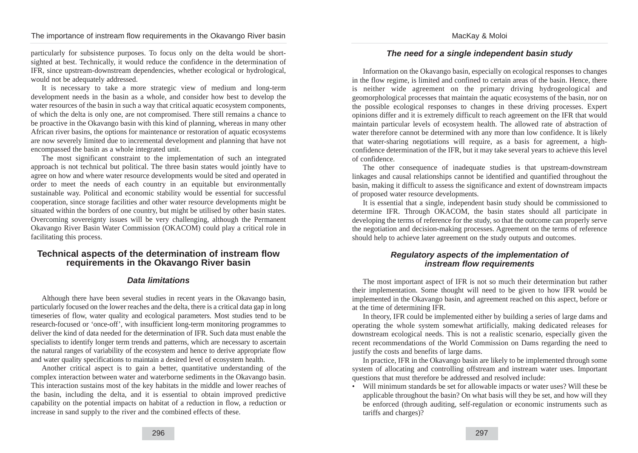particularly for subsistence purposes. To focus only on the delta would be shortsighted at best. Technically, it would reduce the confidence in the determination of IFR, since upstream-downstream dependencies, whether ecological or hydrological, would not be adequately addressed.

It is necessary to take a more strategic view of medium and long-term development needs in the basin as a whole, and consider how best to develop the water resources of the basin in such a way that critical aquatic ecosystem components, of which the delta is only one, are not compromised. There still remains a chance to be proactive in the Okavango basin with this kind of planning, whereas in many other African river basins, the options for maintenance or restoration of aquatic ecosystems are now severely limited due to incremental development and planning that have not encompassed the basin as a whole integrated unit.

The most significant constraint to the implementation of such an integrated approach is not technical but political. The three basin states would jointly have to agree on how and where water resource developments would be sited and operated in order to meet the needs of each country in an equitable but environmentally sustainable way. Political and economic stability would be essential for successful cooperation, since storage facilities and other water resource developments might be situated within the borders of one country, but might be utilised by other basin states. Overcoming sovereignty issues will be very challenging, although the Permanent Okavango River Basin Water Commission (OKACOM) could play a critical role in facilitating this process.

#### **Technical aspects of the determination of instream flow requirements in the Okavango River basin**

#### **Data limitations**

Although there have been several studies in recent years in the Okavango basin, particularly focused on the lower reaches and the delta, there is a critical data gap in long timeseries of flow, water quality and ecological parameters. Most studies tend to be research-focused or 'once-off', with insufficient long-term monitoring programmes to deliver the kind of data needed for the determination of IFR. Such data must enable the specialists to identify longer term trends and patterns, which are necessary to ascertain the natural ranges of variability of the ecosystem and hence to derive appropriate flow and water quality specifications to maintain a desired level of ecosystem health.

Another critical aspect is to gain a better, quantitative understanding of the complex interaction between water and waterborne sediments in the Okavango basin. This interaction sustains most of the key habitats in the middle and lower reaches of the basin, including the delta, and it is essential to obtain improved predictive capability on the potential impacts on habitat of a reduction in flow, a reduction or increase in sand supply to the river and the combined effects of these.

#### MacKay & Moloi

#### **The need for a single independent basin study**

Information on the Okavango basin, especially on ecological responses to changes in the flow regime, is limited and confined to certain areas of the basin. Hence, there is neither wide agreement on the primary driving hydrogeological and geomorphological processes that maintain the aquatic ecosystems of the basin, nor on the possible ecological responses to changes in these driving processes. Expert opinions differ and it is extremely difficult to reach agreement on the IFR that would maintain particular levels of ecosystem health. The allowed rate of abstraction of water therefore cannot be determined with any more than low confidence. It is likely that water-sharing negotiations will require, as a basis for agreement, a highconfidence determination of the IFR, but it may take several years to achieve this level of confidence.

The other consequence of inadequate studies is that upstream-downstream linkages and causal relationships cannot be identified and quantified throughout the basin, making it difficult to assess the significance and extent of downstream impacts of proposed water resource developments.

It is essential that a single, independent basin study should be commissioned to determine IFR. Through OKACOM, the basin states should all participate in developing the terms of reference for the study, so that the outcome can properly serve the negotiation and decision-making processes. Agreement on the terms of reference should help to achieve later agreement on the study outputs and outcomes.

#### **Regulatory aspects of the implementation of instream flow requirements**

The most important aspect of IFR is not so much their determination but rather their implementation. Some thought will need to be given to how IFR would be implemented in the Okavango basin, and agreement reached on this aspect, before or at the time of determining IFR.

In theory, IFR could be implemented either by building a series of large dams and operating the whole system somewhat artificially, making dedicated releases for downstream ecological needs. This is not a realistic scenario, especially given the recent recommendations of the World Commission on Dams regarding the need to justify the costs and benefits of large dams.

In practice, IFR in the Okavango basin are likely to be implemented through some system of allocating and controlling offstream and instream water uses. Important questions that must therefore be addressed and resolved include:

• Will minimum standards be set for allowable impacts or water uses? Will these be applicable throughout the basin? On what basis will they be set, and how will they be enforced (through auditing, self-regulation or economic instruments such as tariffs and charges)?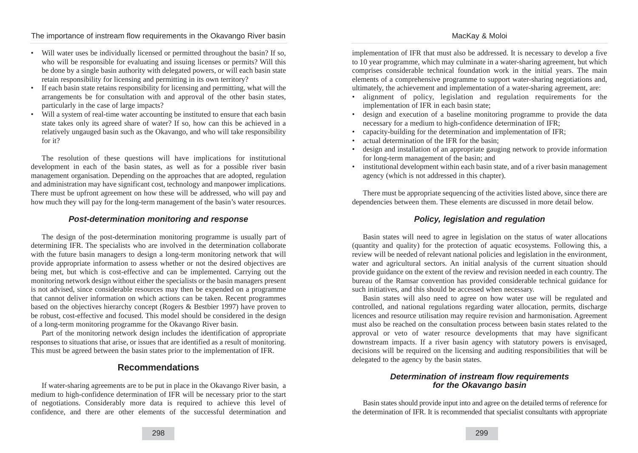- Will water uses be individually licensed or permitted throughout the basin? If so, who will be responsible for evaluating and issuing licenses or permits? Will this be done by a single basin authority with delegated powers, or will each basin state retain responsibility for licensing and permitting in its own territory?
- If each basin state retains responsibility for licensing and permitting, what will the arrangements be for consultation with and approval of the other basin states, particularly in the case of large impacts?
- Will a system of real-time water accounting be instituted to ensure that each basin state takes only its agreed share of water? If so, how can this be achieved in a relatively ungauged basin such as the Okavango, and who will take responsibility for it?

The resolution of these questions will have implications for institutional development in each of the basin states, as well as for a possible river basin management organisation. Depending on the approaches that are adopted, regulation and administration may have significant cost, technology and manpower implications. There must be upfront agreement on how these will be addressed, who will pay and how much they will pay for the long-term management of the basin's water resources.

#### **Post-determination monitoring and response**

The design of the post-determination monitoring programme is usually part of determining IFR. The specialists who are involved in the determination collaborate with the future basin managers to design a long-term monitoring network that will provide appropriate information to assess whether or not the desired objectives are being met, but which is cost-effective and can be implemented. Carrying out the monitoring network design without either the specialists or the basin managers present is not advised, since considerable resources may then be expended on a programme that cannot deliver information on which actions can be taken. Recent programmes based on the objectives hierarchy concept (Rogers & Bestbier 1997) have proven to be robust, cost-effective and focused. This model should be considered in the design of a long-term monitoring programme for the Okavango River basin.

Part of the monitoring network design includes the identification of appropriate responses to situations that arise, or issues that are identified as a result of monitoring. This must be agreed between the basin states prior to the implementation of IFR.

# **Recommendations**

If water-sharing agreements are to be put in place in the Okavango River basin, a medium to high-confidence determination of IFR will be necessary prior to the start of negotiations. Considerably more data is required to achieve this level of confidence, and there are other elements of the successful determination and implementation of IFR that must also be addressed. It is necessary to develop a five to 10 year programme, which may culminate in a water-sharing agreement, but which comprises considerable technical foundation work in the initial years. The main elements of a comprehensive programme to support water-sharing negotiations and, ultimately, the achievement and implementation of a water-sharing agreement, are:

- alignment of policy, legislation and regulation requirements for the implementation of IFR in each basin state;
- design and execution of a baseline monitoring programme to provide the data necessary for a medium to high-confidence determination of IFR;
- capacity-building for the determination and implementation of IFR;
- actual determination of the IFR for the basin;
- design and installation of an appropriate gauging network to provide information for long-term management of the basin; and
- institutional development within each basin state, and of a river basin management agency (which is not addressed in this chapter).

There must be appropriate sequencing of the activities listed above, since there are dependencies between them. These elements are discussed in more detail below.

## **Policy, legislation and regulation**

Basin states will need to agree in legislation on the status of water allocations (quantity and quality) for the protection of aquatic ecosystems. Following this, a review will be needed of relevant national policies and legislation in the environment, water and agricultural sectors. An initial analysis of the current situation should provide guidance on the extent of the review and revision needed in each country. The bureau of the Ramsar convention has provided considerable technical guidance for such initiatives, and this should be accessed when necessary.

Basin states will also need to agree on how water use will be regulated and controlled, and national regulations regarding water allocation, permits, discharge licences and resource utilisation may require revision and harmonisation. Agreement must also be reached on the consultation process between basin states related to the approval or veto of water resource developments that may have significant downstream impacts. If a river basin agency with statutory powers is envisaged, decisions will be required on the licensing and auditing responsibilities that will be delegated to the agency by the basin states.

#### **Determination of instream flow requirements for the Okavango basin**

Basin states should provide input into and agree on the detailed terms of reference for the determination of IFR. It is recommended that specialist consultants with appropriate

#### MacKay & Moloi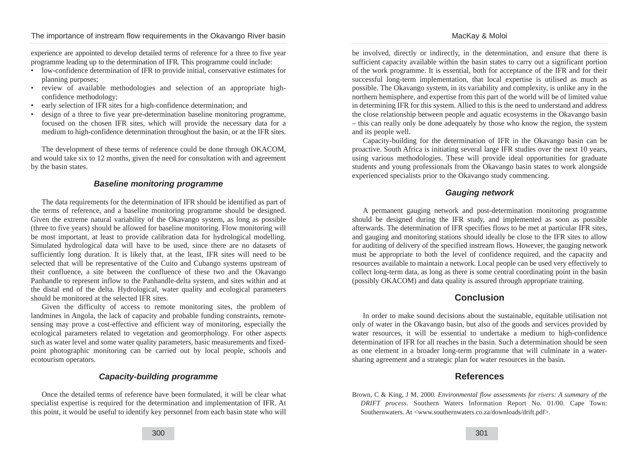MacKay & Moloi

experience are appointed to develop detailed terms of reference for a three to five year programme leading up to the determination of IFR. This programme could include:

- low-confidence determination of IFR to provide initial, conservative estimates for planning purposes;
- review of available methodologies and selection of an appropriate highconfidence methodology;
- early selection of IFR sites for a high-confidence determination; and
- design of a three to five year pre-determination baseline monitoring programme, focused on the chosen IFR sites, which will provide the necessary data for a medium to high-confidence determination throughout the basin, or at the IFR sites.

The development of these terms of reference could be done through OKACOM, and would take six to 12 months, given the need for consultation with and agreement by the basin states.

#### **Baseline monitoring programme**

The data requirements for the determination of IFR should be identified as part of the terms of reference, and a baseline monitoring programme should be designed. Given the extreme natural variability of the Okavango system, as long as possible (three to five years) should be allowed for baseline monitoring. Flow monitoring will be most important, at least to provide calibration data for hydrological modelling. Simulated hydrological data will have to be used, since there are no datasets of sufficiently long duration. It is likely that, at the least, IFR sites will need to be selected that will be representative of the Cuito and Cubango systems upstream of their confluence, a site between the confluence of these two and the Okavango Panhandle to represent inflow to the Panhandle-delta system, and sites within and at the distal end of the delta. Hydrological, water quality and ecological parameters should be monitored at the selected IFR sites.

Given the difficulty of access to remote monitoring sites, the problem of landmines in Angola, the lack of capacity and probable funding constraints, remotesensing may prove a cost-effective and efficient way of monitoring, especially the ecological parameters related to vegetation and geomorphology. For other aspects such as water level and some water quality parameters, basic measurements and fixedpoint photographic monitoring can be carried out by local people, schools and ecotourism operators.

## **Capacity-building programme**

Once the detailed terms of reference have been formulated, it will be clear what specialist expertise is required for the determination and implementation of IFR. At this point, it would be useful to identify key personnel from each basin state who will

be involved, directly or indirectly, in the determination, and ensure that there is sufficient capacity available within the basin states to carry out a significant portion of the work programme. It is essential, both for acceptance of the IFR and for their successful long-term implementation, that local expertise is utilised as much as possible. The Okavango system, in its variability and complexity, is unlike any in the northern hemisphere, and expertise from this part of the world will be of limited value in determining IFR for this system. Allied to this is the need to understand and address the close relationship between people and aquatic ecosystems in the Okavango basin – this can really only be done adequately by those who know the region, the system and its people well.

Capacity-building for the determination of IFR in the Okavango basin can be proactive. South Africa is initiating several large IFR studies over the next 10 years, using various methodologies. These will provide ideal opportunities for graduate students and young professionals from the Okavango basin states to work alongside experienced specialists prior to the Okavango study commencing.

# **Gauging network**

A permanent gauging network and post-determination monitoring programme should be designed during the IFR study, and implemented as soon as possible afterwards. The determination of IFR specifies flows to be met at particular IFR sites, and gauging and monitoring stations should ideally be close to the IFR sites to allow for auditing of delivery of the specified instream flows. However, the gauging network must be appropriate to both the level of confidence required, and the capacity and resources available to maintain a network. Local people can be used very effectively to collect long-term data, as long as there is some central coordinating point in the basin (possibly OKACOM) and data quality is assured through appropriate training.

# **Conclusion**

In order to make sound decisions about the sustainable, equitable utilisation not only of water in the Okavango basin, but also of the goods and services provided by water resources, it will be essential to undertake a medium to high-confidence determination of IFR for all reaches in the basin. Such a determination should be seen as one element in a broader long-term programme that will culminate in a watersharing agreement and a strategic plan for water resources in the basin.

# **References**

Brown, C & King, J M. 2000. *Environmental flow assessments for rivers: A summary of the DRIFT process*. Southern Waters Information Report No. 01/00. Cape Town: Southernwaters. At <www.southernwaters.co.za/downloads/drift.pdf>.